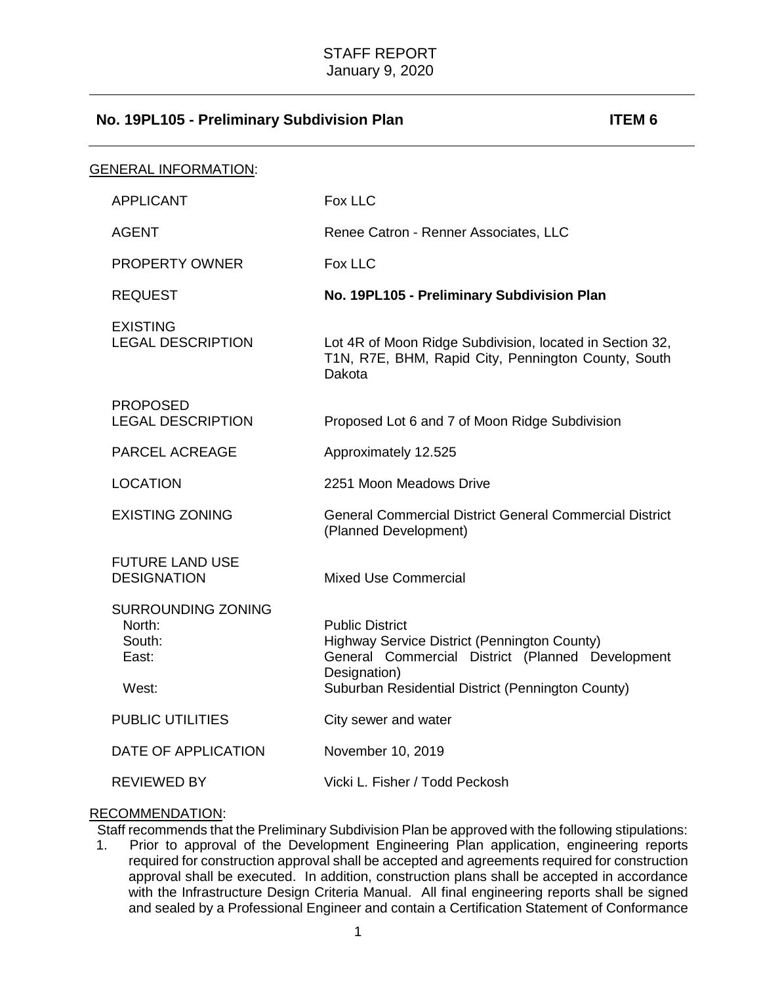| <b>GENERAL INFORMATION:</b>                            |                                                                                                                            |
|--------------------------------------------------------|----------------------------------------------------------------------------------------------------------------------------|
| <b>APPLICANT</b>                                       | Fox LLC                                                                                                                    |
| AGENT                                                  | Renee Catron - Renner Associates, LLC                                                                                      |
| <b>PROPERTY OWNER</b>                                  | Fox LLC                                                                                                                    |
| <b>REQUEST</b>                                         | No. 19PL105 - Preliminary Subdivision Plan                                                                                 |
| <b>EXISTING</b><br><b>LEGAL DESCRIPTION</b>            | Lot 4R of Moon Ridge Subdivision, located in Section 32,<br>T1N, R7E, BHM, Rapid City, Pennington County, South<br>Dakota  |
| <b>PROPOSED</b><br><b>LEGAL DESCRIPTION</b>            | Proposed Lot 6 and 7 of Moon Ridge Subdivision                                                                             |
| <b>PARCEL ACREAGE</b>                                  | Approximately 12.525                                                                                                       |
| <b>LOCATION</b>                                        | 2251 Moon Meadows Drive                                                                                                    |
| <b>EXISTING ZONING</b>                                 | <b>General Commercial District General Commercial District</b><br>(Planned Development)                                    |
| <b>FUTURE LAND USE</b><br><b>DESIGNATION</b>           | <b>Mixed Use Commercial</b>                                                                                                |
| <b>SURROUNDING ZONING</b><br>North:<br>South:<br>East: | <b>Public District</b><br>Highway Service District (Pennington County)<br>General Commercial District (Planned Development |
| West:                                                  | Designation)<br>Suburban Residential District (Pennington County)                                                          |
| <b>PUBLIC UTILITIES</b>                                | City sewer and water                                                                                                       |
| DATE OF APPLICATION                                    | November 10, 2019                                                                                                          |
| <b>REVIEWED BY</b>                                     | Vicki L. Fisher / Todd Peckosh                                                                                             |

#### RECOMMENDATION:

Staff recommends that the Preliminary Subdivision Plan be approved with the following stipulations:<br>1. Prior to approval of the Development Engineering Plan application, engineering reports

Prior to approval of the Development Engineering Plan application, engineering reports required for construction approval shall be accepted and agreements required for construction approval shall be executed. In addition, construction plans shall be accepted in accordance with the Infrastructure Design Criteria Manual. All final engineering reports shall be signed and sealed by a Professional Engineer and contain a Certification Statement of Conformance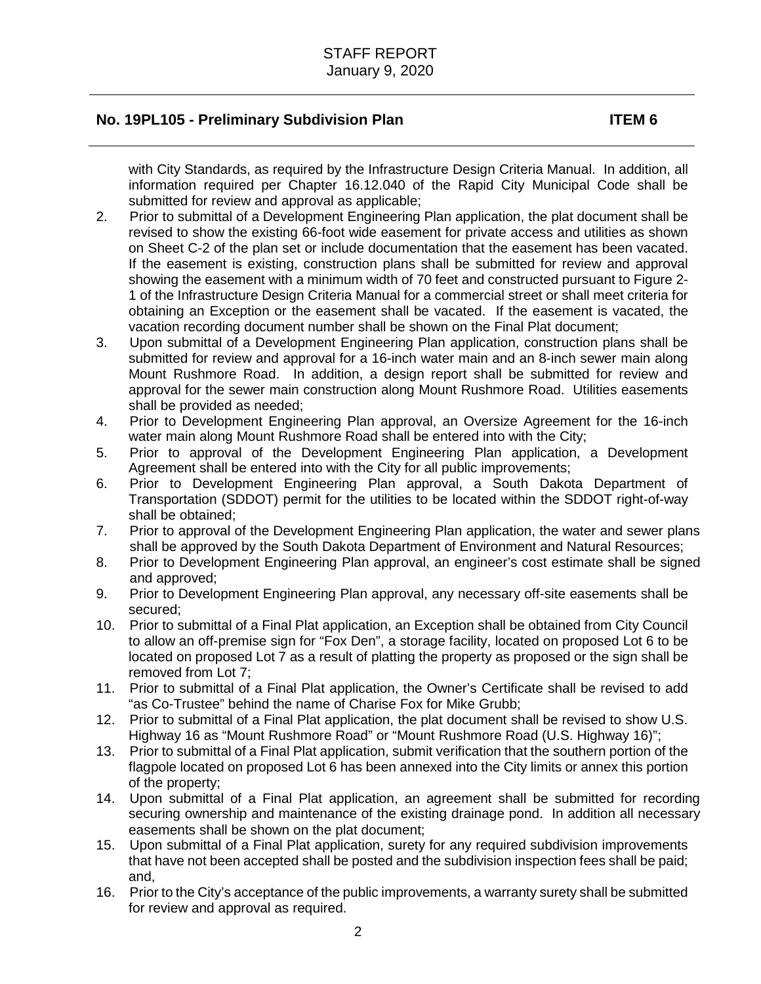with City Standards, as required by the Infrastructure Design Criteria Manual. In addition, all information required per Chapter 16.12.040 of the Rapid City Municipal Code shall be submitted for review and approval as applicable;

- 2. Prior to submittal of a Development Engineering Plan application, the plat document shall be revised to show the existing 66-foot wide easement for private access and utilities as shown on Sheet C-2 of the plan set or include documentation that the easement has been vacated. If the easement is existing, construction plans shall be submitted for review and approval showing the easement with a minimum width of 70 feet and constructed pursuant to Figure 2- 1 of the Infrastructure Design Criteria Manual for a commercial street or shall meet criteria for obtaining an Exception or the easement shall be vacated. If the easement is vacated, the vacation recording document number shall be shown on the Final Plat document;
- 3. Upon submittal of a Development Engineering Plan application, construction plans shall be submitted for review and approval for a 16-inch water main and an 8-inch sewer main along Mount Rushmore Road. In addition, a design report shall be submitted for review and approval for the sewer main construction along Mount Rushmore Road. Utilities easements shall be provided as needed;
- 4. Prior to Development Engineering Plan approval, an Oversize Agreement for the 16-inch water main along Mount Rushmore Road shall be entered into with the City;
- 5. Prior to approval of the Development Engineering Plan application, a Development Agreement shall be entered into with the City for all public improvements;
- 6. Prior to Development Engineering Plan approval, a South Dakota Department of Transportation (SDDOT) permit for the utilities to be located within the SDDOT right-of-way shall be obtained;
- 7. Prior to approval of the Development Engineering Plan application, the water and sewer plans shall be approved by the South Dakota Department of Environment and Natural Resources;
- 8. Prior to Development Engineering Plan approval, an engineer's cost estimate shall be signed and approved;
- 9. Prior to Development Engineering Plan approval, any necessary off-site easements shall be secured;
- 10. Prior to submittal of a Final Plat application, an Exception shall be obtained from City Council to allow an off-premise sign for "Fox Den", a storage facility, located on proposed Lot 6 to be located on proposed Lot 7 as a result of platting the property as proposed or the sign shall be removed from Lot 7;
- 11. Prior to submittal of a Final Plat application, the Owner's Certificate shall be revised to add "as Co-Trustee" behind the name of Charise Fox for Mike Grubb;
- 12. Prior to submittal of a Final Plat application, the plat document shall be revised to show U.S. Highway 16 as "Mount Rushmore Road" or "Mount Rushmore Road (U.S. Highway 16)";
- 13. Prior to submittal of a Final Plat application, submit verification that the southern portion of the flagpole located on proposed Lot 6 has been annexed into the City limits or annex this portion of the property;
- 14. Upon submittal of a Final Plat application, an agreement shall be submitted for recording securing ownership and maintenance of the existing drainage pond. In addition all necessary easements shall be shown on the plat document;
- 15. Upon submittal of a Final Plat application, surety for any required subdivision improvements that have not been accepted shall be posted and the subdivision inspection fees shall be paid; and,
- 16. Prior to the City's acceptance of the public improvements, a warranty surety shall be submitted for review and approval as required.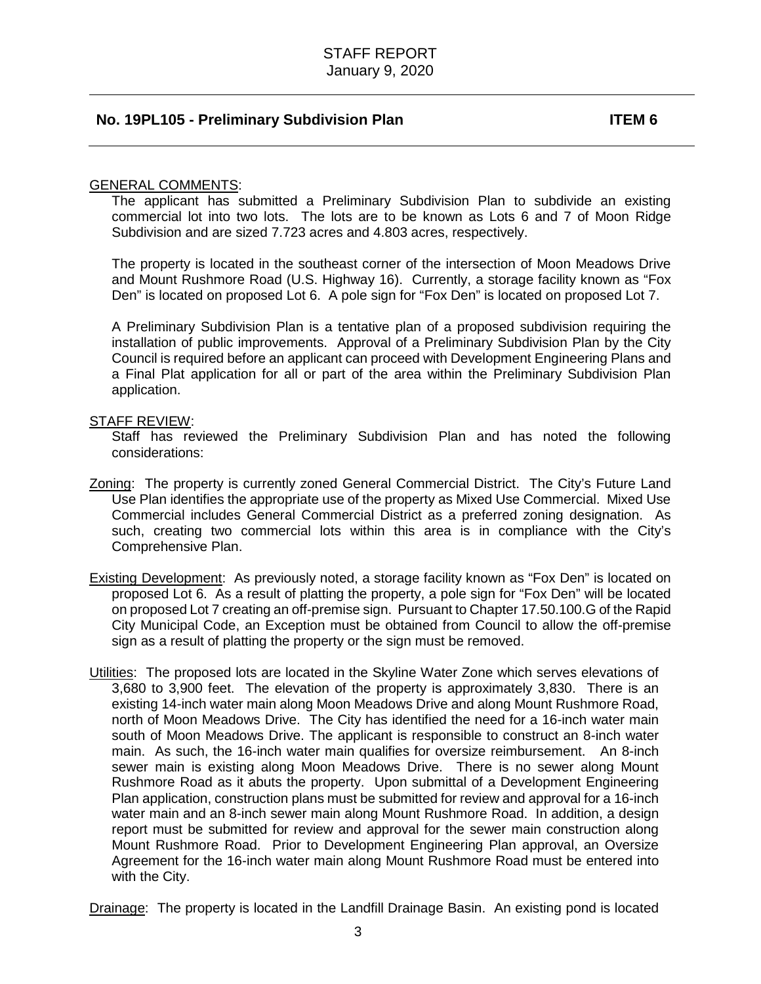#### GENERAL COMMENTS:

The applicant has submitted a Preliminary Subdivision Plan to subdivide an existing commercial lot into two lots. The lots are to be known as Lots 6 and 7 of Moon Ridge Subdivision and are sized 7.723 acres and 4.803 acres, respectively.

The property is located in the southeast corner of the intersection of Moon Meadows Drive and Mount Rushmore Road (U.S. Highway 16). Currently, a storage facility known as "Fox Den" is located on proposed Lot 6. A pole sign for "Fox Den" is located on proposed Lot 7.

A Preliminary Subdivision Plan is a tentative plan of a proposed subdivision requiring the installation of public improvements. Approval of a Preliminary Subdivision Plan by the City Council is required before an applicant can proceed with Development Engineering Plans and a Final Plat application for all or part of the area within the Preliminary Subdivision Plan application.

#### STAFF REVIEW:

Staff has reviewed the Preliminary Subdivision Plan and has noted the following considerations:

- Zoning: The property is currently zoned General Commercial District. The City's Future Land Use Plan identifies the appropriate use of the property as Mixed Use Commercial. Mixed Use Commercial includes General Commercial District as a preferred zoning designation. As such, creating two commercial lots within this area is in compliance with the City's Comprehensive Plan.
- Existing Development: As previously noted, a storage facility known as "Fox Den" is located on proposed Lot 6. As a result of platting the property, a pole sign for "Fox Den" will be located on proposed Lot 7 creating an off-premise sign. Pursuant to Chapter 17.50.100.G of the Rapid City Municipal Code, an Exception must be obtained from Council to allow the off-premise sign as a result of platting the property or the sign must be removed.
- Utilities: The proposed lots are located in the Skyline Water Zone which serves elevations of 3,680 to 3,900 feet. The elevation of the property is approximately 3,830. There is an existing 14-inch water main along Moon Meadows Drive and along Mount Rushmore Road, north of Moon Meadows Drive. The City has identified the need for a 16-inch water main south of Moon Meadows Drive. The applicant is responsible to construct an 8-inch water main. As such, the 16-inch water main qualifies for oversize reimbursement. An 8-inch sewer main is existing along Moon Meadows Drive. There is no sewer along Mount Rushmore Road as it abuts the property. Upon submittal of a Development Engineering Plan application, construction plans must be submitted for review and approval for a 16-inch water main and an 8-inch sewer main along Mount Rushmore Road. In addition, a design report must be submitted for review and approval for the sewer main construction along Mount Rushmore Road. Prior to Development Engineering Plan approval, an Oversize Agreement for the 16-inch water main along Mount Rushmore Road must be entered into with the City.

Drainage: The property is located in the Landfill Drainage Basin. An existing pond is located